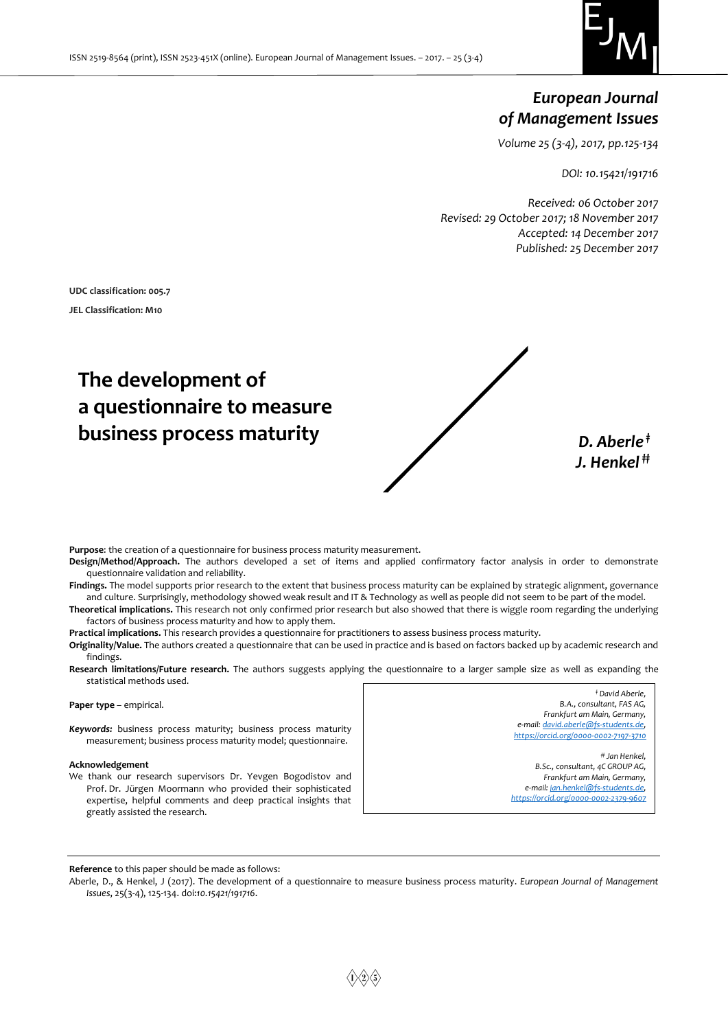

# *European Journal of Management Issues*

*Volume 25 (3-4), 2017, pp.125-134*

*DOI: 10.15421/191716*

*Received: 06 October 2017 Revised: 29 October 2017; 18 November 2017 Accepted: 14 December 2017 Published: 25 December 2017*

**UDC classification: 005.7 JEL Classification: M10**

# **The development of a questionnaire to measure business process maturity** *D. Aberle***<sup>†</sup>**



*J. Henkel ‡‡*

**Purpose**: the creation of a questionnaire for business process maturity measurement.

**Design/Method/Approach.** The authors developed a set of items and applied confirmatory factor analysis in order to demonstrate questionnaire validation and reliability.

**Findings.** The model supports prior research to the extent that business process maturity can be explained by strategic alignment, governance and culture. Surprisingly, methodology showed weak result and IT & Technology as well as people did not seem to be part of the model.

**Theoretical implications.** This research not only confirmed prior research but also showed that there is wiggle room regarding the underlying factors of business process maturity and how to apply them.

**Practical implications.** This research provides a questionnaire for practitioners to assess business process maturity.

**Originality/Value.** The authors created a questionnaire that can be used in practice and is based on factors backed up by academic research and findings.

**Research limitations/Future research.** The authors suggests applying the questionnaire to a larger sample size as well as expanding the statistical methods used.

**Paper type** – empirical. *Keywords:* business process maturity; business process maturity measurement; business process maturity model; questionnaire. **Acknowledgement** We thank our research supervisors Dr. Yevgen Bogodistov and Prof. Dr. Jürgen Moormann who provided their sophisticated expertise, helpful comments and deep practical insights that greatly assisted the research. *‡ David Aberle, B.A., consultant, FAS AG, Frankfurt am Main, Germany, e-mail[: david.aberle@fs-students.de,](mailto:david.aberle@fs-students.de) <https://orcid.org/0000-0002-7197-3710> ‡‡ Jan Henkel, B.Sc., consultant, 4C GROUP AG, Frankfurt am Main, Germany, e-mail[: jan.henkel@fs-students.de,](mailto:jan.henkel@fs-students.de) <https://orcid.org/0000-0002-2379-9607>*

**Reference** to this paper should be made as follows:

Aberle, D., & Henkel, J (2017). The development of a questionnaire to measure business process maturity. *European Journal of Management Issues*, 25(3-4), 125-134. doi:*10.15421/191716*.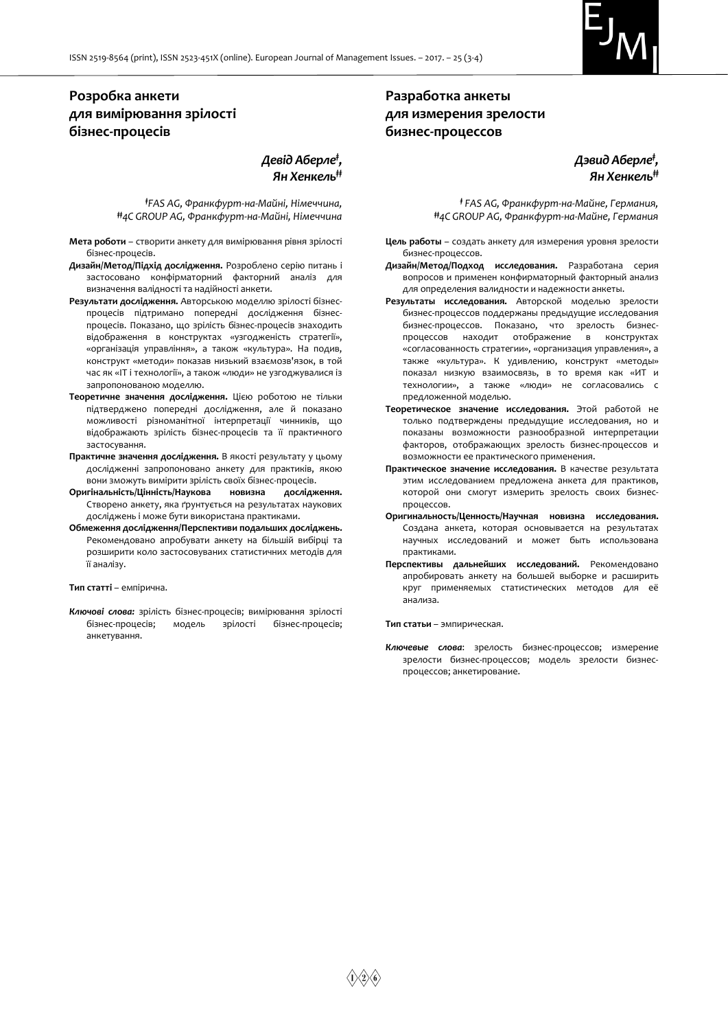

# **Розробка анкети для вимірювання зрілості бізнес-процесів**

*Девід Аберле‡ , Ян Хенкель‡‡*

*‡FAS AG, Франкфурт-на-Майні, Німеччина, ‡‡4C GROUP AG, Франкфурт-на-Майні, Німеччина*

- **Мета роботи** створити анкету для вимірювання рівня зрілості бізнес-процесів.
- **Дизайн/Метод/Підхід дослідження.** Розроблено серію питань і застосовано конфірматорний факторний аналіз для визначення валідності та надійності анкети.
- **Результати дослідження.** Авторською моделлю зрілості бізнеспроцесів підтримано попередні дослідження бізнеспроцесів. Показано, що зрілість бізнес-процесів знаходить відображення в конструктах «узгодженість стратегії», «організація управління», а також «культура». На подив, конструкт «методи» показав низький взаємозв'язок, в той час як «ІТ і технології», а також «люди» не узгоджувалися із запропонованою моделлю.
- **Теоретичне значення дослідження.** Цією роботою не тільки підтверджено попередні дослідження, але й показано можливості різноманітної інтерпретації чинників, що відображають зрілість бізнес-процесів та її практичного застосування.
- **Практичне значення дослідження.** В якості результату у цьому дослідженні запропоновано анкету для практиків, якою вони зможуть вимірити зрілість своїх бізнес-процесів.
- **Оригінальність/Цінність/Наукова новизна дослідження.** Створено анкету, яка ґрунтується на результатах наукових досліджень і може бути використана практиками.
- **Обмеження дослідження/Перспективи подальших досліджень.**  Рекомендовано апробувати анкету на більшій вибірці та розширити коло застосовуваних статистичних методів для її аналізу.

#### **Тип статті** – емпірична.

*Ключові слова:* зрілість бізнес-процесів; вимірювання зрілості бізнес-процесів; модель зрілості бізнес-процесів; анкетування.

## **Разработка анкеты для измерения зрелости бизнес-процессов**

## *Дэвид Аберле‡ , Ян Хенкель‡‡*

*‡ FAS AG, Франкфурт-на-Майне, Германия, ‡‡4C GROUP AG, Франкфурт-на-Майне, Германия*

- **Цель работы** создать анкету для измерения уровня зрелости бизнес-процессов.
- **Дизайн/Метод/Подход исследования.** Разработана серия вопросов и применен конфирматорный факторный анализ для определения валидности и надежности анкеты.
- **Результаты исследования.** Авторской моделью зрелости бизнес-процессов поддержаны предыдущие исследования бизнес-процессов. Показано, что зрелость бизнеспроцессов находит отображение в конструктах «согласованность стратегии», «организация управления», а также «культура». К удивлению, конструкт «методы» показал низкую взаимосвязь, в то время как «ИТ и технологии», а также «люди» не согласовались с предложенной моделью.
- **Теоретическое значение исследования.** Этой работой не только подтверждены предыдущие исследования, но и показаны возможности разнообразной интерпретации факторов, отображающих зрелость бизнес-процессов и возможности ее практического применения.
- **Практическое значение исследования.** В качестве результата этим исследованием предложена анкета для практиков, которой они смогут измерить зрелость своих бизнеспроцессов.
- **Оригинальность/Ценность/Научная новизна исследования.** Создана анкета, которая основывается на результатах научных исследований и может быть использована практиками.
- **Перспективы дальнейших исследований.** Рекомендовано апробировать анкету на большей выборке и расширить круг применяемых статистических методов для её анализа.

**Тип статьи** – эмпирическая.

*Ключевые слова*: зрелость бизнес-процессов; измерение зрелости бизнес-процессов; модель зрелости бизнеспроцессов; анкетирование.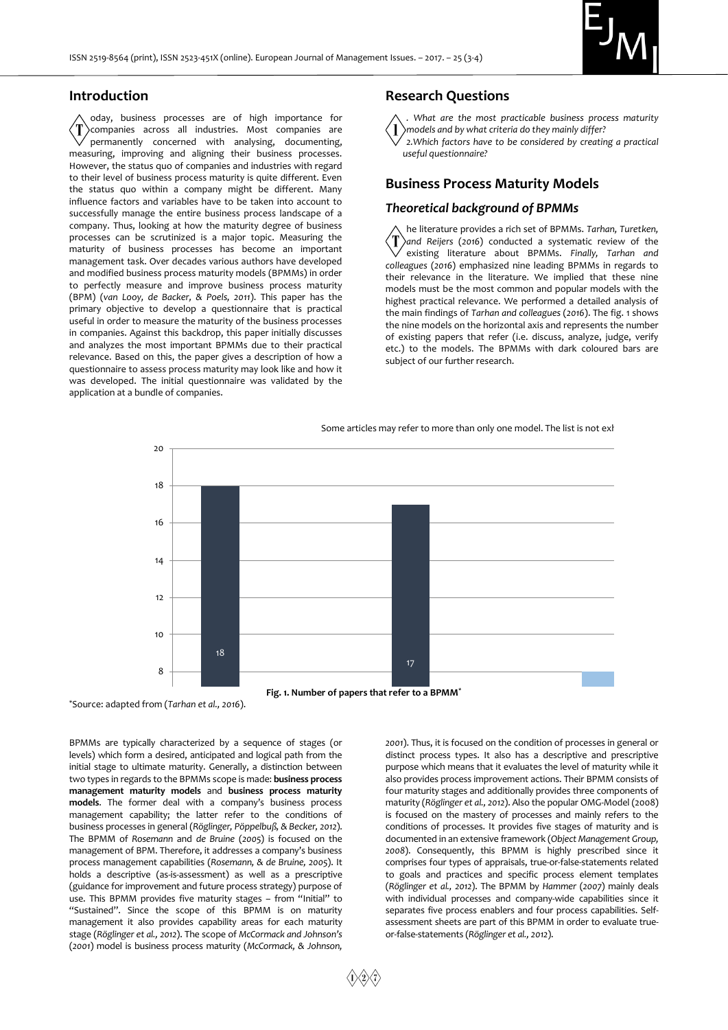

#### **Introduction**

oday, business processes are of high importance for companies across all industries. Most companies are permanently concerned with analysing, documenting, measuring, improving and aligning their business processes. However, the status quo of companies and industries with regard to their level of business process maturity is quite different. Even the status quo within a company might be different. Many influence factors and variables have to be taken into account to successfully manage the entire business process landscape of a company. Thus, looking at how the maturity degree of business processes can be scrutinized is a major topic. Measuring the maturity of business processes has become an important management task. Over decades various authors have developed and modified business process maturity models (BPMMs) in order to perfectly measure and improve business process maturity (BPM) (*van Looy, de Backer, & Poels, 2011*). This paper has the primary objective to develop a questionnaire that is practical useful in order to measure the maturity of the business processes in companies. Against this backdrop, this paper initially discusses and analyzes the most important BPMMs due to their practical relevance. Based on this, the paper gives a description of how a questionnaire to assess process maturity may look like and how it was developed. The initial questionnaire was validated by the application at a bundle of companies.

#### **Research Questions**

*. What are the most practicable business process maturity models and by what criteria do they mainly differ?*

*2.Which factors have to be considered by creating a practical useful questionnaire?*

## **Business Process Maturity Models**

## *Theoretical background of BPMMs*

he literature provides a rich set of BPMMs. *Tarhan, Turetken, and Reijers* (*2016*) conducted a systematic review of the existing literature about BPMMs. *Finally, Tarhan and colleagues* (*2016*) emphasized nine leading BPMMs in regards to their relevance in the literature. We implied that these nine models must be the most common and popular models with the highest practical relevance. We performed a detailed analysis of the main findings of *Tarhan and colleagues* (*2016*). The fig. 1 shows the nine models on the horizontal axis and represents the number of existing papers that refer (i.e. discuss, analyze, judge, verify etc.) to the models. The BPMMs with dark coloured bars are subject of our further research.



Some articles may refer to more than only one model. The list is not exh

\*Source: adapted from (*Tarhan et al., 2016*).

BPMMs are typically characterized by a sequence of stages (or levels) which form a desired, anticipated and logical path from the initial stage to ultimate maturity. Generally, a distinction between two types in regards to the BPMMs scope is made: **business process management maturity models** and **business process maturity models**. The former deal with a company's business process management capability; the latter refer to the conditions of business processes in general (*Röglinger, Pöppelbuß, & Becker, 2012*). The BPMM of *Rosemann* and *de Bruine* (*2005*) is focused on the management of BPM. Therefore, it addresses a company's business process management capabilities (*Rosemann, & de Bruine, 2005*). It holds a descriptive (as-is-assessment) as well as a prescriptive (guidance for improvement and future process strategy) purpose of use. This BPMM provides five maturity stages - from "Initial" to "Sustained". Since the scope of this BPMM is on maturity management it also provides capability areas for each maturity stage (*Röglinger et al., 2012*). The scope of *McCormack and Johnson's*  (*2001*) model is business process maturity (*McCormack, & Johnson,* 

*2001*). Thus, it is focused on the condition of processes in general or distinct process types. It also has a descriptive and prescriptive purpose which means that it evaluates the level of maturity while it also provides process improvement actions. Their BPMM consists of four maturity stages and additionally provides three components of maturity (*Röglinger et al., 2012*). Also the popular OMG-Model (2008) is focused on the mastery of processes and mainly refers to the conditions of processes. It provides five stages of maturity and is documented in an extensive framework (*Object Management Group, 2008*). Consequently, this BPMM is highly prescribed since it comprises four types of appraisals, true-or-false-statements related to goals and practices and specific process element templates (*Röglinger et al., 2012*). The BPMM by *Hammer* (*2007*) mainly deals with individual processes and company-wide capabilities since it separates five process enablers and four process capabilities. Selfassessment sheets are part of this BPMM in order to evaluate trueor-false-statements (*Röglinger et al., 2012*).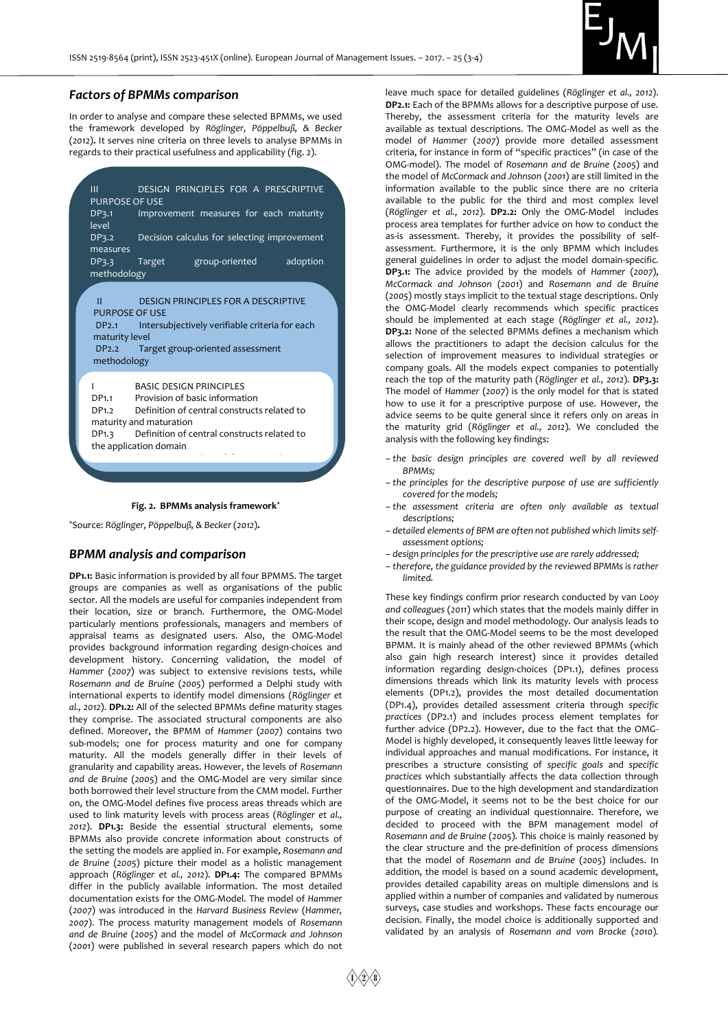

## *Factors of BPMMs comparison*

In order to analyse and compare these selected BPMMs, we used the framework developed by *Röglinger, Pöppelbuß, & Becker* (*2012*)**.** It serves nine criteria on three levels to analyse BPMMs in regards to their practical usefulness and applicability (fig. 2).





\*Source: *Röglinger, Pöppelbuß, & Becker* (*2012*)**.**

#### *BPMM analysis and comparison*

**DP1.1:** Basic information is provided by all four BPMMS. The target groups are companies as well as organisations of the public sector. All the models are useful for companies independent from their location, size or branch. Furthermore, the OMG-Model particularly mentions professionals, managers and members of appraisal teams as designated users. Also, the OMG-Model provides background information regarding design-choices and development history. Concerning validation, the model of *Hammer* (*2007*) was subject to extensive revisions tests, while *Rosemann and de Bruine* (*2005*) performed a Delphi study with international experts to identify model dimensions (*Röglinger et al., 2012*). **DP1.2:** All of the selected BPMMs define maturity stages they comprise. The associated structural components are also defined. Moreover, the BPMM of *Hammer* (*2007*) contains two sub-models; one for process maturity and one for company maturity. All the models generally differ in their levels of granularity and capability areas. However, the levels of *Rosemann and de Bruine* (*2005*) and the OMG-Model are very similar since both borrowed their level structure from the CMM model. Further on, the OMG-Model defines five process areas threads which are used to link maturity levels with process areas (*Röglinger et al., 2012*). **DP1.3:** Beside the essential structural elements, some BPMMs also provide concrete information about constructs of the setting the models are applied in. For example, *Rosemann and de Bruine* (*2005*) picture their model as a holistic management approach (*Röglinger et al., 2012*). **DP1.4:** The compared BPMMs differ in the publicly available information. The most detailed documentation exists for the OMG-Model. The model of *Hammer*  (*2007*) was introduced in the *Harvard Business Review* (*Hammer, 2007*). The process maturity management models of *Rosemann and de Bruine* (*2005*) and the model of *McCormack and Johnson* (*2001*) were published in several research papers which do not

leave much space for detailed guidelines (*Röglinger et al., 2012*). **DP2.1:** Each of the BPMMs allows for a descriptive purpose of use. Thereby, the assessment criteria for the maturity levels are available as textual descriptions. The OMG-Model as well as the model of *Hammer* (*2007*) provide more detailed assessment criteria, for instance in form of "specific practices" (in case of the OMG-model). The model of *Rosemann and de Bruine* (*2005*) and the model of *McCormack and Johnson* (*2001*) are still limited in the information available to the public since there are no criteria available to the public for the third and most complex level (*Röglinger et al., 2012*). **DP2.2:** Only the OMG-Model includes process area templates for further advice on how to conduct the as-is assessment. Thereby, it provides the possibility of selfassessment. Furthermore, it is the only BPMM which includes general guidelines in order to adjust the model domain-specific. **DP3.1:** The advice provided by the models of *Hammer* (*2007*), *McCormack and Johnson* (*2001*) and *Rosemann and de Bruine* (*2005*) mostly stays implicit to the textual stage descriptions. Only the OMG-Model clearly recommends which specific practices should be implemented at each stage (*Röglinger et al., 2012*). **DP3.2:** None of the selected BPMMs defines a mechanism which allows the practitioners to adapt the decision calculus for the selection of improvement measures to individual strategies or company goals. All the models expect companies to potentially reach the top of the maturity path (*Röglinger et al., 2012*). **DP3.3:**  The model of *Hammer* (*2007*) is the only model for that is stated how to use it for a prescriptive purpose of use. However, the advice seems to be quite general since it refers only on areas in the maturity grid (*Röglinger et al., 2012*). We concluded the analysis with the following key findings:

- *– the basic design principles are covered well by all reviewed BPMMs;*
- *– the principles for the descriptive purpose of use are sufficiently covered for the models;*
- *– the assessment criteria are often only available as textual descriptions;*
- *– detailed elements of BPM are often not published which limits selfassessment options;*
- *– design principles for the prescriptive use are rarely addressed;*
- *– therefore, the guidance provided by the reviewed BPMMs is rather limited.*

These key findings confirm prior research conducted by van *Looy and colleagues* (*2011*) which states that the models mainly differ in their scope, design and model methodology. Our analysis leads to the result that the OMG-Model seems to be the most developed BPMM. It is mainly ahead of the other reviewed BPMMs (which also gain high research interest) since it provides detailed information regarding design-choices (DP1.1), defines process dimensions threads which link its maturity levels with process elements (DP1.2), provides the most detailed documentation (DP1.4), provides detailed assessment criteria through *specific practices* (DP2.1) and includes process element templates for further advice (DP2.2). However, due to the fact that the OMG-Model is highly developed, it consequently leaves little leeway for individual approaches and manual modifications. For instance, it prescribes a structure consisting of *specific goals* and *specific practices* which substantially affects the data collection through questionnaires. Due to the high development and standardization of the OMG-Model, it seems not to be the best choice for our purpose of creating an individual questionnaire. Therefore, we decided to proceed with the BPM management model of *Rosemann and de Bruine* (*2005*). This choice is mainly reasoned by the clear structure and the pre-definition of process dimensions that the model of *Rosemann and de Bruine* (*2005*) includes. In addition, the model is based on a sound academic development, provides detailed capability areas on multiple dimensions and is applied within a number of companies and validated by numerous surveys, case studies and workshops. These facts encourage our decision. Finally, the model choice is additionally supported and validated by an analysis of *Rosemann and vom Brocke* (*2010*)*.*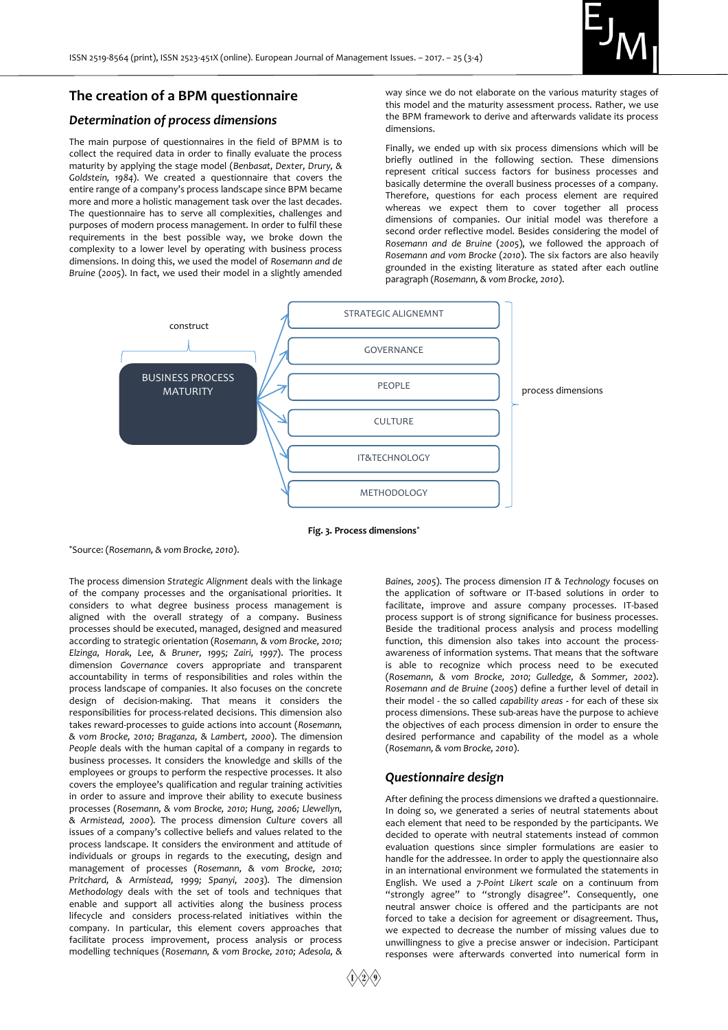

## **The creation of a BPM questionnaire**

## *Determination of process dimensions*

The main purpose of questionnaires in the field of BPMM is to collect the required data in order to finally evaluate the process maturity by applying the stage model (*Benbasat, Dexter, Drury, & Goldstein, 1984*). We created a questionnaire that covers the entire range of a company's process landscape since BPM became more and more a holistic management task over the last decades. The questionnaire has to serve all complexities, challenges and purposes of modern process management. In order to fulfil these requirements in the best possible way, we broke down the complexity to a lower level by operating with business process dimensions. In doing this, we used the model of *Rosemann and de Bruine* (*2005*). In fact, we used their model in a slightly amended

way since we do not elaborate on the various maturity stages of this model and the maturity assessment process. Rather, we use the BPM framework to derive and afterwards validate its process dimensions.

Finally, we ended up with six process dimensions which will be briefly outlined in the following section. These dimensions represent critical success factors for business processes and basically determine the overall business processes of a company. Therefore, questions for each process element are required whereas we expect them to cover together all process dimensions of companies. Our initial model was therefore a second order reflective model. Besides considering the model of *Rosemann and de Bruine* (*2005*), we followed the approach of *Rosemann and vom Brocke* (*2010*). The six factors are also heavily grounded in the existing literature as stated after each outline paragraph (*Rosemann, & vom Brocke, 2010*).



**Fig. 3. Process dimensions\***

\*Source: (*Rosemann, & vom Brocke, 2010*).

The process dimension *Strategic Alignment* deals with the linkage of the company processes and the organisational priorities. It considers to what degree business process management is aligned with the overall strategy of a company. Business processes should be executed, managed, designed and measured according to strategic orientation (*Rosemann, & vom Brocke, 2010; Elzinga, Horak, Lee, & Bruner, 1995; Zairi, 1997*). The process dimension *Governance* covers appropriate and transparent accountability in terms of responsibilities and roles within the process landscape of companies. It also focuses on the concrete design of decision-making. That means it considers the responsibilities for process-related decisions. This dimension also takes reward-processes to guide actions into account (*Rosemann, & vom Brocke, 2010; Braganza, & Lambert, 2000*). The dimension *People* deals with the human capital of a company in regards to business processes. It considers the knowledge and skills of the employees or groups to perform the respective processes. It also covers the employee's qualification and regular training activities in order to assure and improve their ability to execute business processes (*Rosemann, & vom Brocke, 2010; Hung, 2006; Llewellyn, & Armistead, 2000*). The process dimension *Culture* covers all issues of a company's collective beliefs and values related to the process landscape. It considers the environment and attitude of individuals or groups in regards to the executing, design and management of processes (*Rosemann, & vom Brocke, 2010; Pritchard, & Armistead, 1999; Spanyi, 2003*). The dimension *Methodology* deals with the set of tools and techniques that enable and support all activities along the business process lifecycle and considers process-related initiatives within the company. In particular, this element covers approaches that facilitate process improvement, process analysis or process modelling techniques (*Rosemann, & vom Brocke, 2010; Adesola, &* 

*Baines, 2005*). The process dimension *IT & Technology* focuses on the application of software or IT-based solutions in order to facilitate, improve and assure company processes. IT-based process support is of strong significance for business processes. Beside the traditional process analysis and process modelling function, this dimension also takes into account the processawareness of information systems. That means that the software is able to recognize which process need to be executed (*Rosemann, & vom Brocke, 2010; Gulledge, & Sommer, 2002*). *Rosemann and de Bruine* (*2005*) define a further level of detail in their model - the so called *capability areas* **-** for each of these six process dimensions. These sub-areas have the purpose to achieve the objectives of each process dimension in order to ensure the desired performance and capability of the model as a whole (*Rosemann, & vom Brocke, 2010*).

## *Questionnaire design*

After defining the process dimensions we drafted a questionnaire. In doing so, we generated a series of neutral statements about each element that need to be responded by the participants. We decided to operate with neutral statements instead of common evaluation questions since simpler formulations are easier to handle for the addressee. In order to apply the questionnaire also in an international environment we formulated the statements in English. We used a *7-Point Likert scale* on a continuum from "strongly agree" to "strongly disagree". Consequently, one neutral answer choice is offered and the participants are not forced to take a decision for agreement or disagreement. Thus, we expected to decrease the number of missing values due to unwillingness to give a precise answer or indecision. Participant responses were afterwards converted into numerical form in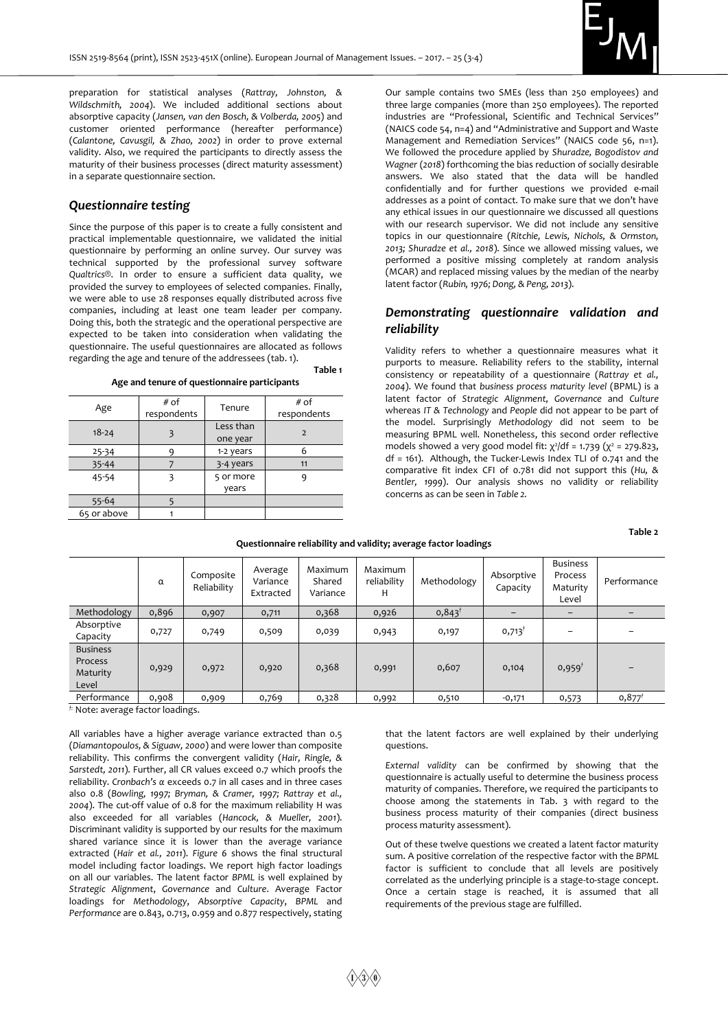

preparation for statistical analyses (*Rattray, Johnston, & Wildschmith, 2004*). We included additional sections about absorptive capacity (*Jansen, van den Bosch, & Volberda, 2005*) and customer oriented performance (hereafter performance) (*Calantone, Cavusgil, & Zhao, 2002*) in order to prove external validity. Also, we required the participants to directly assess the maturity of their business processes (direct maturity assessment) in a separate questionnaire section.

## *Questionnaire testing*

Since the purpose of this paper is to create a fully consistent and practical implementable questionnaire, we validated the initial questionnaire by performing an online survey. Our survey was technical supported by the professional survey software *Qualtrics®*. In order to ensure a sufficient data quality, we provided the survey to employees of selected companies. Finally, we were able to use 28 responses equally distributed across five companies, including at least one team leader per company. Doing this, both the strategic and the operational perspective are expected to be taken into consideration when validating the questionnaire. The useful questionnaires are allocated as follows regarding the age and tenure of the addressees (tab. 1).

|                                              | Table 1 |
|----------------------------------------------|---------|
| Age and tenure of questionnaire participants |         |

| Age         | # of<br>respondents | Tenure                | # of<br>respondents |
|-------------|---------------------|-----------------------|---------------------|
| $18 - 24$   |                     | Less than<br>one year | $\overline{2}$      |
| $25 - 34$   | Q                   | 1-2 years             |                     |
| 35-44       |                     | 3-4 years             | 11                  |
| 45-54       | 3                   | 5 or more             |                     |
|             |                     | years                 |                     |
| 55-64       |                     |                       |                     |
| 65 or above |                     |                       |                     |

Our sample contains two SMEs (less than 250 employees) and three large companies (more than 250 employees). The reported industries are "Professional, Scientific and Technical Services" (NAICS code 54, n=4) and "Administrative and Support and Waste Management and Remediation Services" (NAICS code 56, n=1). We followed the procedure applied by *Shuradze, Bogodistov and Wagner* (*2018*) forthcoming the bias reduction of socially desirable answers. We also stated that the data will be handled confidentially and for further questions we provided e-mail addresses as a point of contact. To make sure that we don't have any ethical issues in our questionnaire we discussed all questions with our research supervisor. We did not include any sensitive topics in our questionnaire (*Ritchie, Lewis, Nichols, & Ormston, 2013; Shuradze et al., 2018*). Since we allowed missing values, we performed a positive missing completely at random analysis (MCAR) and replaced missing values by the median of the nearby latent factor (*Rubin, 1976; Dong, & Peng, 2013*).

## *Demonstrating questionnaire validation and reliability*

Validity refers to whether a questionnaire measures what it purports to measure. Reliability refers to the stability, internal consistency or repeatability of a questionnaire (*Rattray et al., 2004*). We found that *business process maturity level* (BPML) is a latent factor of *Strategic Alignment, Governance* and *Culture* whereas *IT & Technology* and *People* did not appear to be part of the model. Surprisingly *Methodology* did not seem to be measuring BPML well. Nonetheless, this second order reflective models showed a very good model fit:  $χ²/df = 1.739 (χ² = 279.823,$ df = 161). Although, the Tucker-Lewis Index TLI of 0.741 and the comparative fit index CFI of 0.781 did not support this (*Hu, & Bentler, 1999*). Our analysis shows no validity or reliability concerns as can be seen in *Table 2.*

**Table 2** 

| Questionnaire reliability and validity; average factor loadings |  |  |
|-----------------------------------------------------------------|--|--|
|-----------------------------------------------------------------|--|--|

|                                                 | α     | Composite<br>Reliability | Average<br>Variance<br>Extracted | Maximum<br>Shared<br>Variance | Maximum<br>reliability<br>н | Methodology       | Absorptive<br>Capacity | <b>Business</b><br>Process<br>Maturity<br>Level | Performance          |
|-------------------------------------------------|-------|--------------------------|----------------------------------|-------------------------------|-----------------------------|-------------------|------------------------|-------------------------------------------------|----------------------|
| Methodology                                     | 0,896 | 0,907                    | 0,711                            | 0,368                         | 0,926                       | $0,843^{\dagger}$ |                        |                                                 |                      |
| Absorptive<br>Capacity                          | 0,727 | 0,749                    | 0,509                            | 0,039                         | 0,943                       | 0,197             | $0,713$ <sup>†</sup>   |                                                 |                      |
| <b>Business</b><br>Process<br>Maturity<br>Level | 0,929 | 0,972                    | 0,920                            | 0,368                         | 0,991                       | 0,607             | 0,104                  | $0,959^{\dagger}$                               |                      |
| Performance                                     | 0,908 | 0,909                    | 0,769                            | 0,328                         | 0,992                       | 0,510             | $-0,171$               | 0,573                                           | $0,877$ <sup>†</sup> |

*†:* Note: average factor loadings.

All variables have a higher average variance extracted than 0.5 (*Diamantopoulos, & Siguaw, 2000*) and were lower than composite reliability. This confirms the convergent validity (*Hair, Ringle, & Sarstedt, 2011*). Further, all CR values exceed 0.7 which proofs the reliability. *Cronbach's α* exceeds 0.7 in all cases and in three cases also 0.8 (*Bowling, 1997; Bryman, & Cramer, 1997; Rattray et al., 2004*). The cut-off value of 0.8 for the maximum reliability H was also exceeded for all variables (*Hancock, & Mueller, 2001*). Discriminant validity is supported by our results for the maximum shared variance since it is lower than the average variance extracted (*Hair et al., 2011*). *Figure 6* shows the final structural model including factor loadings. We report high factor loadings on all our variables. The latent factor *BPML* is well explained by *Strategic Alignment*, *Governance* and *Culture*. Average Factor loadings for *Methodology*, *Absorptive Capacity*, *BPML* and *Performance* are 0.843, 0.713, 0.959 and 0.877 respectively, stating

that the latent factors are well explained by their underlying questions.

*External validity* can be confirmed by showing that the questionnaire is actually useful to determine the business process maturity of companies. Therefore, we required the participants to choose among the statements in Tab. 3 with regard to the business process maturity of their companies (direct business process maturity assessment).

Out of these twelve questions we created a latent factor maturity sum. A positive correlation of the respective factor with the *BPML* factor is sufficient to conclude that all levels are positively correlated as the underlying principle is a stage-to-stage concept. Once a certain stage is reached, it is assumed that all requirements of the previous stage are fulfilled.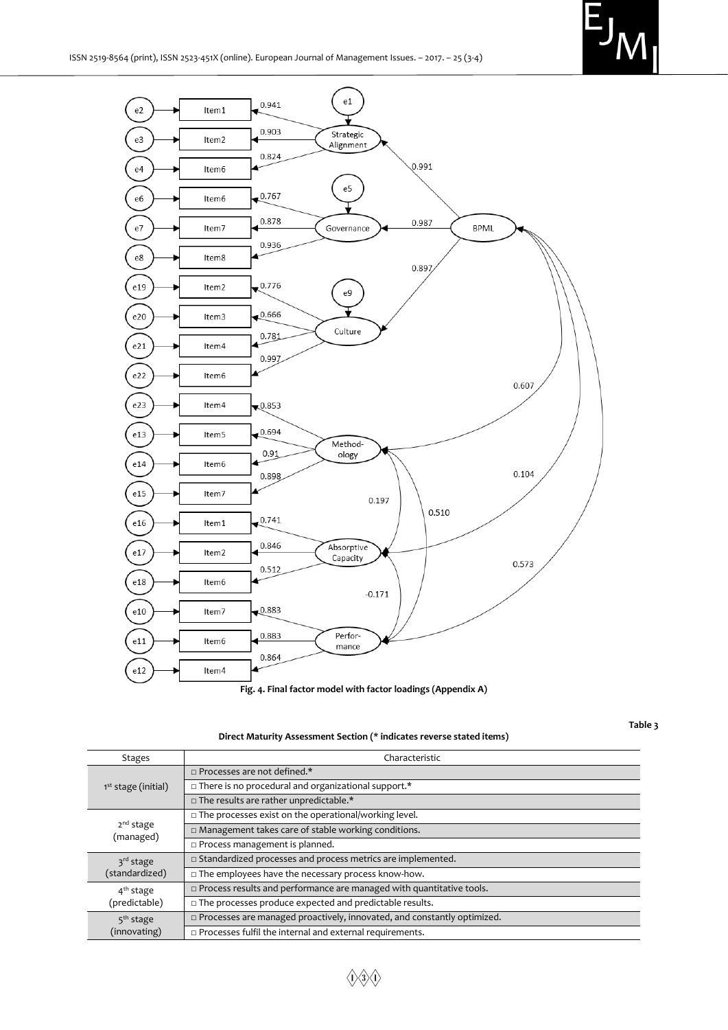

**Fig. 4. Final factor model with factor loadings (Appendix A)**

**Table 3**

**Direct Maturity Assessment Section (\* indicates reverse stated items)**

| <b>Stages</b>                                                         | Characteristic                                                                    |
|-----------------------------------------------------------------------|-----------------------------------------------------------------------------------|
| 1 <sup>st</sup> stage (initial)                                       | $\Box$ Processes are not defined.*                                                |
|                                                                       | $\Box$ There is no procedural and organizational support.*                        |
|                                                                       | $\Box$ The results are rather unpredictable.*                                     |
| 2 <sup>nd</sup> stage<br>(managed)                                    | □ The processes exist on the operational/working level.                           |
|                                                                       | In Management takes care of stable working conditions.                            |
|                                                                       | $\square$ Process management is planned.                                          |
| 3 <sup>rd</sup> stage<br>(standardized)                               | $\square$ Standardized processes and process metrics are implemented.             |
|                                                                       | $\Box$ The employees have the necessary process know-how.                         |
| $4th$ stage<br>(predictable)<br>5 <sup>th</sup> stage<br>(innovating) | $\Box$ Process results and performance are managed with quantitative tools.       |
|                                                                       | □ The processes produce expected and predictable results.                         |
|                                                                       | $\square$ Processes are managed proactively, innovated, and constantly optimized. |
|                                                                       | $\Box$ Processes fulfil the internal and external requirements.                   |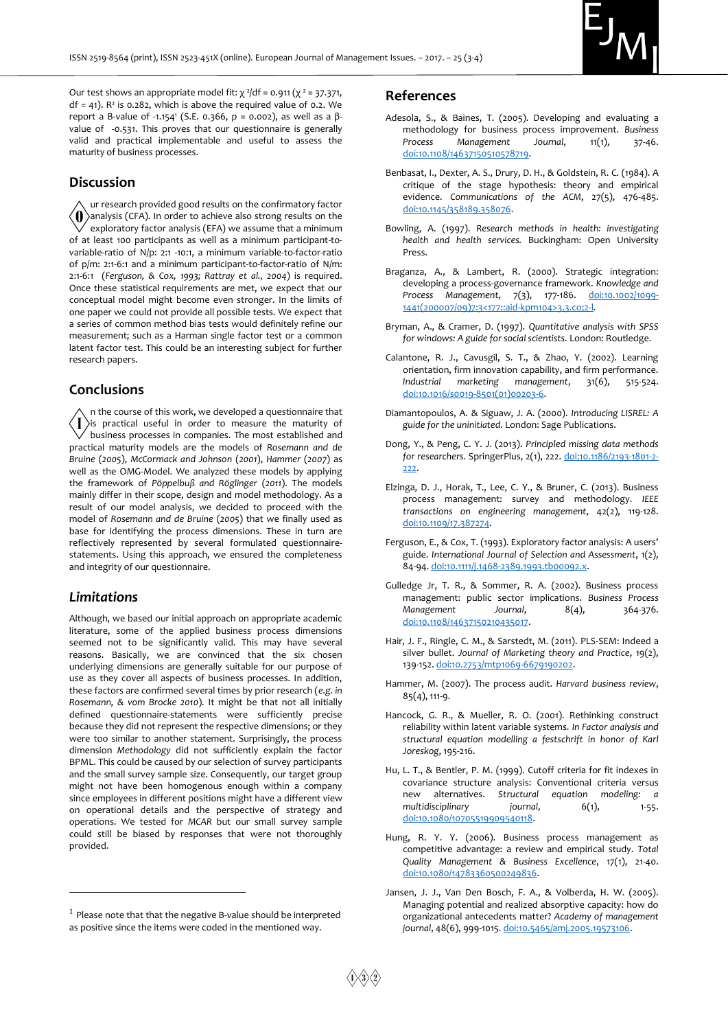

Our test shows an appropriate model fit:  $\chi^2$ /df = 0.911 ( $\chi^2$  = 37.371,  $df = 41$ ). R<sup>2</sup> is 0.282, which is above the required value of 0.2. We report a B-value of -1.154<sup>1</sup> (S.E. 0.366, p = 0.002), as well as a βvalue of -0.531. This proves that our questionnaire is generally valid and practical implementable and useful to assess the maturity of business processes.

## **Discussion**

ur research provided good results on the confirmatory factor  $\langle \mathbf{0} \rangle$ analysis (CFA). In order to achieve also strong results on the exploratory factor analysis (EFA) we assume that a minimum of at least 100 participants as well as a minimum participant-tovariable-ratio of N/p: 2:1 -10:1, a minimum variable-to-factor-ratio of p/m: 2:1-6:1 and a minimum participant-to-factor-ratio of N/m: 2:1-6:1 (*Ferguson, & Cox, 1993; Rattray et al., 2004*) is required. Once these statistical requirements are met, we expect that our conceptual model might become even stronger. In the limits of one paper we could not provide all possible tests. We expect that a series of common method bias tests would definitely refine our measurement; such as a Harman single factor test or a common latent factor test. This could be an interesting subject for further research papers.

## **Conclusions**

n the course of this work, we developed a questionnaire that  $\langle \, \mathrm{I} \, \rangle$ is practical useful in order to measure the maturity of business processes in companies. The most established and practical maturity models are the models of *Rosemann and de Bruine* (*2005*), *McCormack and Johnson* (*2001*), *Hammer* (*2007*) as well as the OMG-Model. We analyzed these models by applying the framework of *Pöppelbuß and Röglinger* (*2011*). The models mainly differ in their scope, design and model methodology. As a result of our model analysis, we decided to proceed with the model of *Rosemann and de Bruine* (*2005*) that we finally used as base for identifying the process dimensions. These in turn are reflectively represented by several formulated questionnairestatements. Using this approach, we ensured the completeness and integrity of our questionnaire.

## *Limitations*

-

Although, we based our initial approach on appropriate academic literature, some of the applied business process dimensions seemed not to be significantly valid. This may have several reasons. Basically, we are convinced that the six chosen underlying dimensions are generally suitable for our purpose of use as they cover all aspects of business processes. In addition, these factors are confirmed several times by prior research (*e.g. in Rosemann, & vom Brocke 2010*). It might be that not all initially defined questionnaire-statements were sufficiently precise because they did not represent the respective dimensions; or they were too similar to another statement. Surprisingly, the process dimension *Methodology* did not sufficiently explain the factor BPML. This could be caused by our selection of survey participants and the small survey sample size. Consequently, our target group might not have been homogenous enough within a company since employees in different positions might have a different view on operational details and the perspective of strategy and operations. We tested for *MCAR* but our small survey sample could still be biased by responses that were not thoroughly provided.

#### **References**

- Adesola, S., & Baines, T. (2005). Developing and evaluating a methodology for business process improvement. *Business Process Management Journal*, 11(1), 37-46. [doi:10.1108/14637150510578719.](https://doi.org/10.1108/14637150510578719)
- Benbasat, I., Dexter, A. S., Drury, D. H., & Goldstein, R. C. (1984). A critique of the stage hypothesis: theory and empirical evidence. *Communications of the ACM*, 27(5), 476-485. [doi:10.1145/358189.358076.](https://doi.org/10.1145/358189.358076)
- Bowling, A. (1997). *Research methods in health: investigating health and health services.* Buckingham: Open University Press.
- Braganza, A., & Lambert, R. (2000). Strategic integration: developing a process-governance framework. *Knowledge and Process Management*, 7(3), 177-186. [doi:10.1002/1099-](https://doi.org/10.1002/1099-1441(200007/09)7:3%3C177::aid-kpm104%3E3.3.co;2-l) [1441\(200007/09\)7:3<177::aid-kpm104>3.3.co;2-l.](https://doi.org/10.1002/1099-1441(200007/09)7:3%3C177::aid-kpm104%3E3.3.co;2-l)
- Bryman, A., & Cramer, D. (1997). *Quantitative analysis with SPSS for windows: A guide for social scientists.* London*:* Routledge.
- Calantone, R. J., Cavusgil, S. T., & Zhao, Y. (2002). Learning orientation, firm innovation capability, and firm performance. *Industrial marketing management*, 31(6), 515-524. [doi:10.1016/s0019-8501\(01\)00203-6.](https://doi.org/10.1016/s0019-8501(01)00203-6)
- Diamantopoulos, A. & Siguaw, J. A. (2000). *Introducing LISREL: A guide for the uninitiated.* London: Sage Publications.
- Dong, Y., & Peng, C. Y. J. (2013). *Principled missing data methods for researchers.* SpringerPlus, 2(1), 222. [doi:10.1186/2193-1801-2-](https://doi.org/10.1186/2193-1801-2-222) [222.](https://doi.org/10.1186/2193-1801-2-222)
- Elzinga, D. J., Horak, T., Lee, C. Y., & Bruner, C. (2013). Business process management: survey and methodology. *IEEE transactions on engineering management*, 42(2), 119-128. [doi:10.1109/17.387274.](https://doi.org/10.1109/17.387274)
- Ferguson, E., & Cox, T. (1993). Exploratory factor analysis: A users' guide. *International Journal of Selection and Assessment*, 1(2), 84-94[. doi:10.1111/j.1468-2389.1993.tb00092.x.](https://doi.org/10.1111/j.1468-2389.1993.tb00092.x)
- Gulledge Jr, T. R., & Sommer, R. A. (2002). Business process management: public sector implications. *Business Process Management Journal*, 8(4), 364-376. [doi:10.1108/14637150210435017.](https://doi.org/10.1108/14637150210435017)
- Hair, J. F., Ringle, C. M., & Sarstedt, M. (2011). PLS-SEM: Indeed a silver bullet. *Journal of Marketing theory and Practice*, 19(2), 139-152. [doi:10.2753/mtp1069-6679190202.](https://doi.org/10.2753/mtp1069-6679190202)
- Hammer, M. (2007). The process audit. *Harvard business review*, 85(4), 111-9.
- Hancock, G. R., & Mueller, R. O. (2001). Rethinking construct reliability within latent variable systems*. In Factor analysis and structural equation modelling a festschrift in honor of Karl Joreskog*, 195-216.
- Hu, L. T., & Bentler, P. M. (1999). Cutoff criteria for fit indexes in covariance structure analysis: Conventional criteria versus new alternatives. *Structural equation modeling: a*  multidisciplinary *journal*, 6(1), 1-55. [doi:10.1080/10705519909540118.](https://doi.org/10.1080/10705519909540118)
- Hung, R. Y. Y. (2006). Business process management as competitive advantage: a review and empirical study. *Total Quality Management & Business Excellence*, 17(1), 21-40. [doi:10.1080/14783360500249836.](https://doi.org/10.1080/14783360500249836)
- Jansen, J. J., Van Den Bosch, F. A., & Volberda, H. W. (2005). Managing potential and realized absorptive capacity: how do organizational antecedents matter? *Academy of management journal*, 48(6), 999-1015. [doi:10.5465/amj.2005.19573106.](https://doi.org/10.5465/amj.2005.19573106)

<sup>&</sup>lt;sup>1</sup> Please note that that the negative B-value should be interpreted as positive since the items were coded in the mentioned way.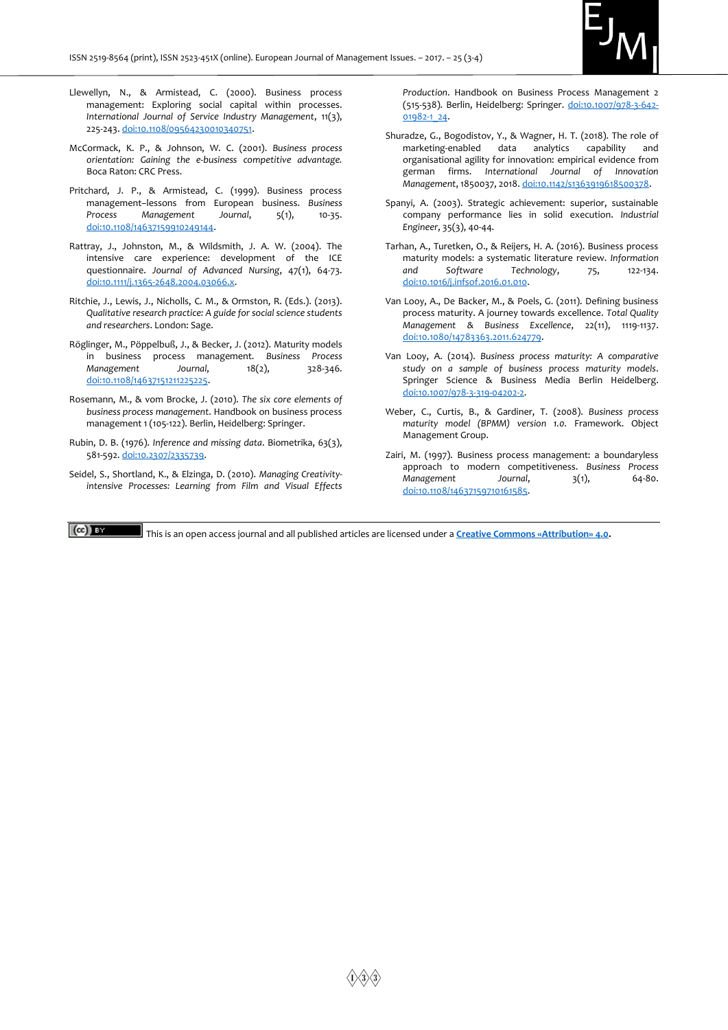

- Llewellyn, N., & Armistead, C. (2000). Business process management: Exploring social capital within processes. *International Journal of Service Industry Management*, 11(3), 225-243. [doi:10.1108/09564230010340751.](https://doi.org/10.1108/09564230010340751)
- McCormack, K. P., & Johnson, W. C. (2001). *Business process orientation: Gaining the e-business competitive advantage.* Boca Raton: CRC Press.
- Pritchard, J. P., & Armistead, C. (1999). Business process management–lessons from European business. *Business Process Management Journal*, 5(1), 10-35. [doi:10.1108/14637159910249144.](https://doi.org/10.1108/14637159910249144)
- Rattray, J., Johnston, M., & Wildsmith, J. A. W. (2004). The intensive care experience: development of the ICE questionnaire. *Journal of Advanced Nursing*, 47(1), 64-73. [doi:10.1111/j.1365-2648.2004.03066.x.](https://doi.org/10.1111/j.1365-2648.2004.03066.x)
- Ritchie, J., Lewis, J., Nicholls, C. M., & Ormston, R. (Eds.). (2013). *Qualitative research practice: A guide for social science students and researchers*. London: Sage.
- Röglinger, M., Pöppelbuß, J., & Becker, J. (2012). Maturity models in business process management. *Business Process Management Journal*, 18(2), 328-346. [doi:10.1108/14637151211225225.](https://doi.org/10.1108/14637151211225225)
- Rosemann, M., & vom Brocke, J. (2010). *The six core elements of business process management*. Handbook on business process management 1 (105-122). Berlin, Heidelberg: Springer.
- Rubin, D. B. (1976). *Inference and missing data*. Biometrika, 63(3), 581-592. [doi:10.2307/2335739.](https://doi.org/10.2307/2335739)
- Seidel, S., Shortland, K., & Elzinga, D. (2010). *Managing Creativityintensive Processes: Learning from Film and Visual Effects*

*Production*. Handbook on Business Process Management 2 (515-538). Berlin, Heidelberg: Springer. [doi:10.1007/978-3-642-](https://doi.org/10.1007/978-3-642-01982-1_24) [01982-1\\_24.](https://doi.org/10.1007/978-3-642-01982-1_24)

- Shuradze, G., Bogodistov, Y., & Wagner, H. T. (2018). The role of marketing-enabled data analytics capability and organisational agility for innovation: empirical evidence from german firms. *International Journal of Innovation Management*, 1850037, 2018. [doi:10.1142/s1363919618500378.](https://doi.org/10.1142/s1363919618500378)
- Spanyi, A. (2003). Strategic achievement: superior, sustainable company performance lies in solid execution. *Industrial Engineer*, 35(3), 40-44.
- Tarhan, A., Turetken, O., & Reijers, H. A. (2016). Business process maturity models: a systematic literature review. *Information and Software Technology*, 75, 122-134. [doi:10.1016/j.infsof.2016.01.010.](https://doi.org/10.1016/j.infsof.2016.01.010)
- Van Looy, A., De Backer, M., & Poels, G. (2011). Defining business process maturity. A journey towards excellence. *Total Quality Management & Business Excellence*, 22(11), 1119-1137. [doi:10.1080/14783363.2011.624779.](https://doi.org/10.1080/14783363.2011.624779)
- Van Looy, A. (2014). *Business process maturity: A comparative study on a sample of business process maturity models*. Springer Science & Business Media Berlin Heidelberg. [doi:10.1007/978-3-319-04202-2.](https://doi.org/10.1007/978-3-319-04202-2)
- Weber, C., Curtis, B., & Gardiner, T. (2008). *Business process maturity model (BPMM) version 1.0.* Framework. Object Management Group.
- Zairi, M. (1997). Business process management: a boundaryless approach to modern competitiveness. *Business Process Management Journal*, 3(1), 64-80. [doi:10.1108/14637159710161585.](https://doi.org/10.1108/14637159710161585)

 $(cc)$  BY

This is an open access journal and all published articles are licensed under a **[Creative Commons «Attribution» 4.0](http://creativecommons.org/licenses/by/4.0/).**